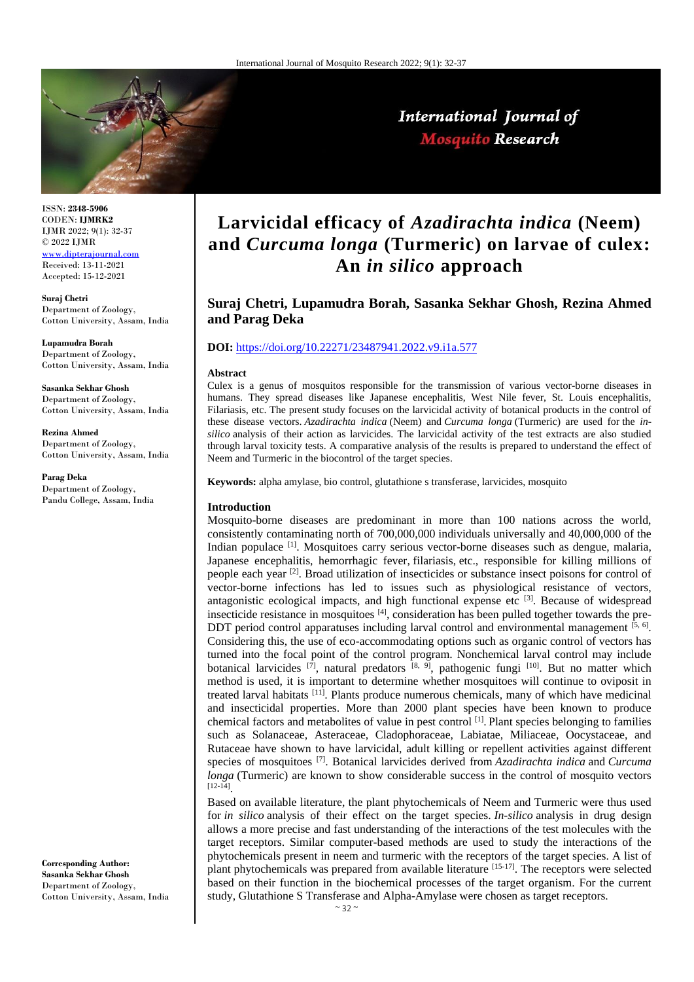

International Journal of **Mosquito Research** 

ISSN: **2348-5906** CODEN: **IJMRK2** IJMR 2022; 9(1): 32-37 © 2022 IJMR <www.dipterajournal.com>

Received: 13-11-2021 Accepted: 15-12-2021

**Suraj Chetri** Department of Zoology, Cotton University, Assam, India

**Lupamudra Borah** Department of Zoology, Cotton University, Assam, India

**Sasanka Sekhar Ghosh**  Department of Zoology, Cotton University, Assam, India

**Rezina Ahmed** Department of Zoology, Cotton University, Assam, India

**Parag Deka** Department of Zoology, Pandu College, Assam, India

**Corresponding Author: Sasanka Sekhar Ghosh**  Department of Zoology, Cotton University, Assam, India

# **Larvicidal efficacy of** *Azadirachta indica* **(Neem) and** *Curcuma longa* **(Turmeric) on larvae of culex: An** *in silico* **approach**

**Suraj Chetri, Lupamudra Borah, Sasanka Sekhar Ghosh, Rezina Ahmed and Parag Deka**

#### **DOI:** <https://doi.org/10.22271/23487941.2022.v9.i1a.577>

#### **Abstract**

Culex is a genus of mosquitos responsible for the transmission of various vector-borne diseases in humans. They spread diseases like Japanese encephalitis, West Nile fever, St. Louis encephalitis, Filariasis, etc. The present study focuses on the larvicidal activity of botanical products in the control of these disease vectors. *Azadirachta indica* (Neem) and *Curcuma longa* (Turmeric) are used for the *insilico* analysis of their action as larvicides. The larvicidal activity of the test extracts are also studied through larval toxicity tests. A comparative analysis of the results is prepared to understand the effect of Neem and Turmeric in the biocontrol of the target species.

**Keywords:** alpha amylase, bio control, glutathione s transferase, larvicides, mosquito

### **Introduction**

Mosquito-borne diseases are predominant in more than 100 nations across the world, consistently contaminating north of 700,000,000 individuals universally and 40,000,000 of the Indian populace <sup>[1]</sup>. Mosquitoes carry serious vector-borne diseases such as dengue, malaria, Japanese encephalitis, hemorrhagic fever, filariasis, etc., responsible for killing millions of people each year <sup>[2]</sup>. Broad utilization of insecticides or substance insect poisons for control of vector-borne infections has led to issues such as physiological resistance of vectors, antagonistic ecological impacts, and high functional expense etc  $[3]$ . Because of widespread insecticide resistance in mosquitoes [4], consideration has been pulled together towards the pre-DDT period control apparatuses including larval control and environmental management  $[5, 6]$ . Considering this, the use of eco-accommodating options such as organic control of vectors has turned into the focal point of the control program. Nonchemical larval control may include botanical larvicides  $^{[7]}$ , natural predators  $^{[8, 9]}$ , pathogenic fungi  $^{[10]}$ . But no matter which method is used, it is important to determine whether mosquitoes will continue to oviposit in treated larval habitats <sup>[11]</sup>. Plants produce numerous chemicals, many of which have medicinal and insecticidal properties. More than 2000 plant species have been known to produce chemical factors and metabolites of value in pest control [1] . Plant species belonging to families such as Solanaceae, Asteraceae, Cladophoraceae, Labiatae, Miliaceae, Oocystaceae, and Rutaceae have shown to have larvicidal, adult killing or repellent activities against different species of mosquitoes [7] . Botanical larvicides derived from *Azadirachta indica* and *Curcuma longa* (Turmeric) are known to show considerable success in the control of mosquito vectors [12-14] .

Based on available literature, the plant phytochemicals of Neem and Turmeric were thus used for *in silico* analysis of their effect on the target species. *In-silico* analysis in drug design allows a more precise and fast understanding of the interactions of the test molecules with the target receptors. Similar computer-based methods are used to study the interactions of the phytochemicals present in neem and turmeric with the receptors of the target species. A list of plant phytochemicals was prepared from available literature [15-17]. The receptors were selected based on their function in the biochemical processes of the target organism. For the current study, Glutathione S Transferase and Alpha-Amylase were chosen as target receptors.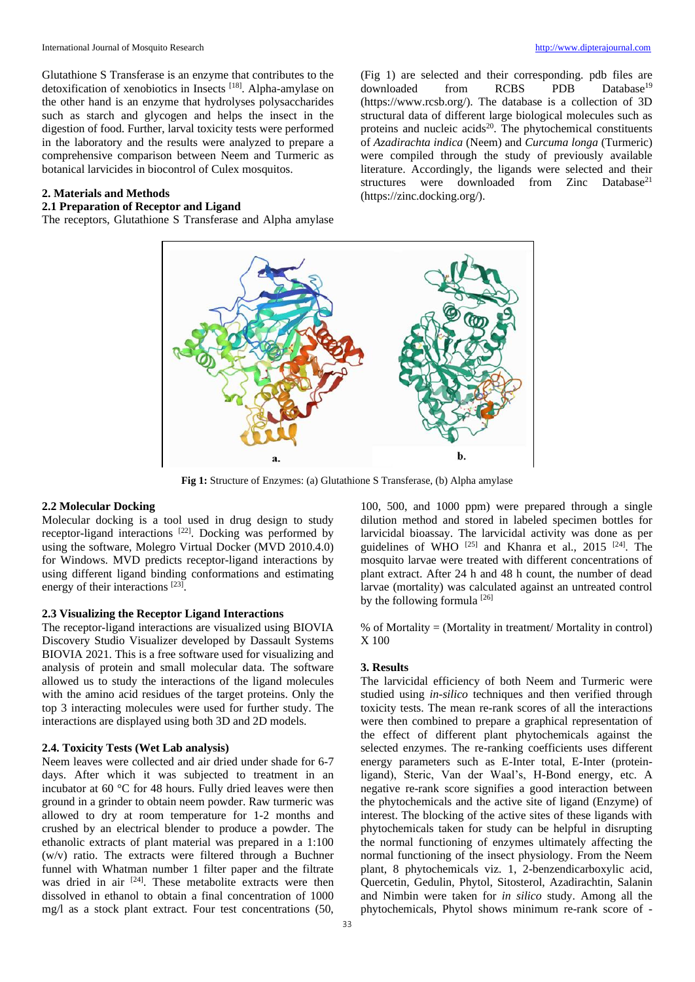International Journal of Mosquito Research [http://www.dipterajournal.com](http://www.dipterajournal.com/)

Glutathione S Transferase is an enzyme that contributes to the detoxification of xenobiotics in Insects<sup>[18]</sup>. Alpha-amylase on the other hand is an enzyme that hydrolyses polysaccharides such as starch and glycogen and helps the insect in the digestion of food. Further, larval toxicity tests were performed in the laboratory and the results were analyzed to prepare a comprehensive comparison between Neem and Turmeric as botanical larvicides in biocontrol of Culex mosquitos.

### **2. Materials and Methods**

# **2.1 Preparation of Receptor and Ligand**

The receptors, Glutathione S Transferase and Alpha amylase

(Fig 1) are selected and their corresponding. pdb files are downloaded from RCBS PDB Database<sup>19</sup> (https://www.rcsb.org/). The database is a collection of 3D structural data of different large biological molecules such as proteins and nucleic acids $20$ . The phytochemical constituents of *Azadirachta indica* (Neem) and *Curcuma longa* (Turmeric) were compiled through the study of previously available literature. Accordingly, the ligands were selected and their structures were downloaded from Zinc Database<sup>21</sup> (https://zinc.docking.org/).



**Fig 1:** Structure of Enzymes: (a) Glutathione S Transferase, (b) Alpha amylase

### **2.2 Molecular Docking**

Molecular docking is a tool used in drug design to study receptor-ligand interactions  $[22]$ . Docking was performed by using the software, Molegro Virtual Docker (MVD 2010.4.0) for Windows. MVD predicts receptor-ligand interactions by using different ligand binding conformations and estimating energy of their interactions [23].

#### **2.3 Visualizing the Receptor Ligand Interactions**

The receptor-ligand interactions are visualized using BIOVIA Discovery Studio Visualizer developed by Dassault Systems BIOVIA 2021. This is a free software used for visualizing and analysis of protein and small molecular data. The software allowed us to study the interactions of the ligand molecules with the amino acid residues of the target proteins. Only the top 3 interacting molecules were used for further study. The interactions are displayed using both 3D and 2D models.

## **2.4. Toxicity Tests (Wet Lab analysis)**

Neem leaves were collected and air dried under shade for 6-7 days. After which it was subjected to treatment in an incubator at 60 °C for 48 hours. Fully dried leaves were then ground in a grinder to obtain neem powder. Raw turmeric was allowed to dry at room temperature for 1-2 months and crushed by an electrical blender to produce a powder. The ethanolic extracts of plant material was prepared in a 1:100 (w/v) ratio. The extracts were filtered through a Buchner funnel with Whatman number 1 filter paper and the filtrate was dried in air <sup>[24]</sup>. These metabolite extracts were then dissolved in ethanol to obtain a final concentration of 1000 mg/l as a stock plant extract. Four test concentrations (50,

33

100, 500, and 1000 ppm) were prepared through a single dilution method and stored in labeled specimen bottles for larvicidal bioassay. The larvicidal activity was done as per guidelines of WHO <sup>[25]</sup> and Khanra et al., 2015<sup>[24]</sup>. The mosquito larvae were treated with different concentrations of plant extract. After 24 h and 48 h count, the number of dead larvae (mortality) was calculated against an untreated control by the following formula [26]

% of Mortality = (Mortality in treatment/ Mortality in control) X 100

#### **3. Results**

The larvicidal efficiency of both Neem and Turmeric were studied using *in-silico* techniques and then verified through toxicity tests. The mean re-rank scores of all the interactions were then combined to prepare a graphical representation of the effect of different plant phytochemicals against the selected enzymes. The re-ranking coefficients uses different energy parameters such as E-Inter total, E-Inter (proteinligand), Steric, Van der Waal's, H-Bond energy, etc. A negative re-rank score signifies a good interaction between the phytochemicals and the active site of ligand (Enzyme) of interest. The blocking of the active sites of these ligands with phytochemicals taken for study can be helpful in disrupting the normal functioning of enzymes ultimately affecting the normal functioning of the insect physiology. From the Neem plant, 8 phytochemicals viz. 1, 2-benzendicarboxylic acid, Quercetin, Gedulin, Phytol, Sitosterol, Azadirachtin, Salanin and Nimbin were taken for *in silico* study. Among all the phytochemicals, Phytol shows minimum re-rank score of -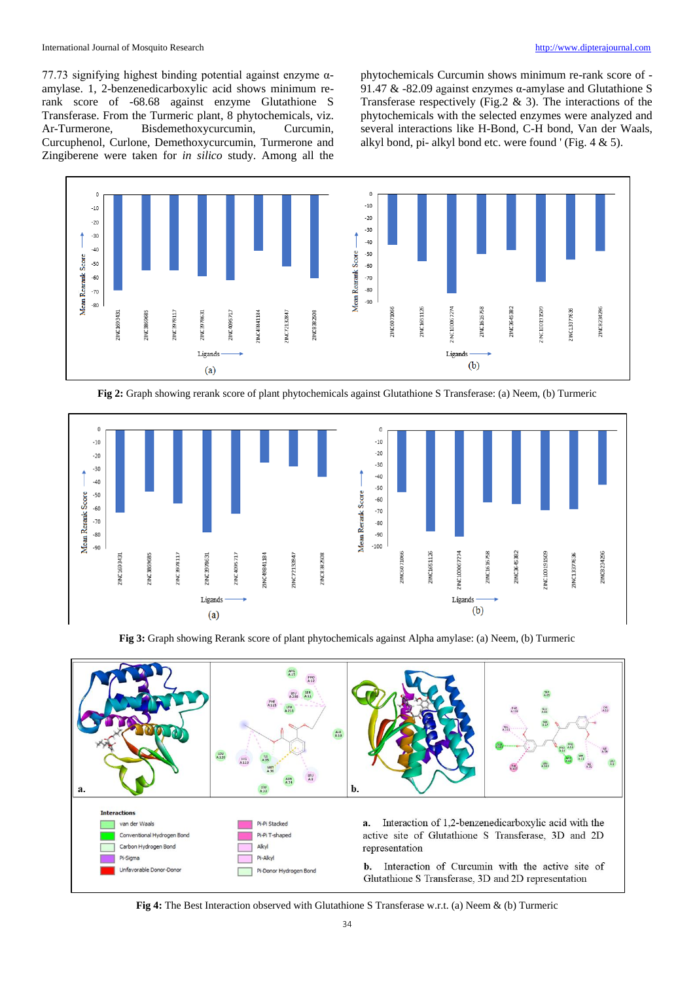77.73 signifying highest binding potential against enzyme αamylase. 1, 2-benzenedicarboxylic acid shows minimum rerank score of -68.68 against enzyme Glutathione S Transferase. From the Turmeric plant, 8 phytochemicals, viz. Ar-Turmerone, Bisdemethoxycurcumin, Curcumin, Curcuphenol, Curlone, Demethoxycurcumin, Turmerone and Zingiberene were taken for *in silico* study. Among all the phytochemicals Curcumin shows minimum re-rank score of - 91.47 & -82.09 against enzymes α-amylase and Glutathione S Transferase respectively (Fig.2  $\&$  3). The interactions of the phytochemicals with the selected enzymes were analyzed and several interactions like H-Bond, C-H bond, Van der Waals, alkyl bond, pi- alkyl bond etc. were found ' (Fig. 4 & 5).



**Fig 2:** Graph showing rerank score of plant phytochemicals against Glutathione S Transferase: (a) Neem, (b) Turmeric



**Fig 3:** Graph showing Rerank score of plant phytochemicals against Alpha amylase: (a) Neem, (b) Turmeric



**Fig 4:** The Best Interaction observed with Glutathione S Transferase w.r.t. (a) Neem & (b) Turmeric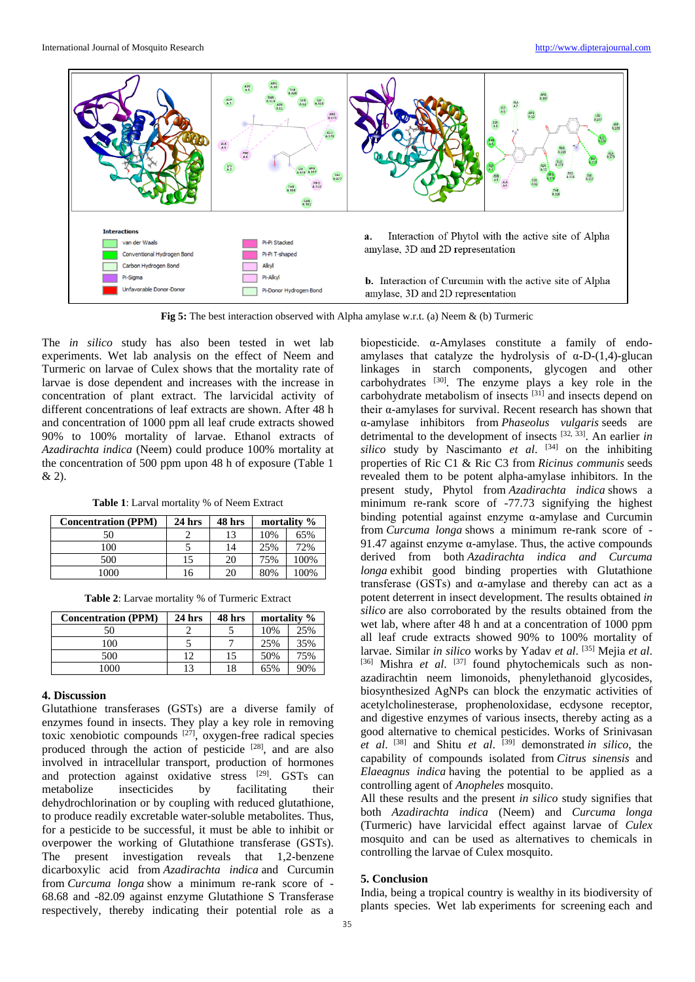

**Fig 5:** The best interaction observed with Alpha amylase w.r.t. (a) Neem & (b) Turmeric

The *in silico* study has also been tested in wet lab experiments. Wet lab analysis on the effect of Neem and Turmeric on larvae of Culex shows that the mortality rate of larvae is dose dependent and increases with the increase in concentration of plant extract. The larvicidal activity of different concentrations of leaf extracts are shown. After 48 h and concentration of 1000 ppm all leaf crude extracts showed 90% to 100% mortality of larvae. Ethanol extracts of *Azadirachta indica* (Neem) could produce 100% mortality at the concentration of 500 ppm upon 48 h of exposure (Table 1 & 2).

**Table 1**: Larval mortality % of Neem Extract

| <b>Concentration (PPM)</b> | $24$ hrs | 48 hrs | mortality % |      |
|----------------------------|----------|--------|-------------|------|
| 50                         |          | 13     | 10%         | 65%  |
| 100                        |          | 14     | 25%         | 72%  |
| 500                        | 15       | 20     | 75%         | 100% |
| .000                       | l6       | 20     | 80%         | 100% |

**Table 2**: Larvae mortality % of Turmeric Extract

| <b>Concentration (PPM)</b> | $24$ hrs | 48 hrs | mortality % |     |
|----------------------------|----------|--------|-------------|-----|
|                            |          |        | 10%         | 25% |
| 100                        |          |        | 25%         | 35% |
| 500                        | 12       | 15     | 50%         | 75% |
| 1000                       | 13       | 18     | 65%         | 90% |

# **4. Discussion**

Glutathione transferases (GSTs) are a diverse family of enzymes found in insects. They play a key role in removing toxic xenobiotic compounds [27] , oxygen-free radical species produced through the action of pesticide <sup>[28]</sup>, and are also involved in intracellular transport, production of hormones and protection against oxidative stress [29]. GSTs can metabolize insecticides by facilitating their dehydrochlorination or by coupling with reduced glutathione, to produce readily excretable water-soluble metabolites. Thus, for a pesticide to be successful, it must be able to inhibit or overpower the working of Glutathione transferase (GSTs). The present investigation reveals that 1,2-benzene dicarboxylic acid from *Azadirachta indica* and Curcumin from *Curcuma longa* show a minimum re-rank score of - 68.68 and -82.09 against enzyme Glutathione S Transferase respectively, thereby indicating their potential role as a biopesticide. α-Amylases constitute a family of endoamylases that catalyze the hydrolysis of  $\alpha$ -D-(1,4)-glucan linkages in starch components, glycogen and other carbohydrates  $[30]$ . The enzyme plays a key role in the carbohydrate metabolism of insects <sup>[31]</sup> and insects depend on their α-amylases for survival. Recent research has shown that α-amylase inhibitors from *Phaseolus vulgaris* seeds are detrimental to the development of insects [32, 33] . An earlier *in silico* study by Nascimanto *et al*. [34] on the inhibiting properties of Ric C1 & Ric C3 from *Ricinus communis* seeds revealed them to be potent alpha-amylase inhibitors. In the present study, Phytol from *Azadirachta indica* shows a minimum re-rank score of -77.73 signifying the highest binding potential against enzyme α-amylase and Curcumin from *Curcuma longa* shows a minimum re-rank score of - 91.47 against enzyme  $\alpha$ -amylase. Thus, the active compounds derived from both *Azadirachta indica and Curcuma longa* exhibit good binding properties with Glutathione transferase (GSTs) and α-amylase and thereby can act as a potent deterrent in insect development. The results obtained *in silico* are also corroborated by the results obtained from the wet lab, where after 48 h and at a concentration of 1000 ppm all leaf crude extracts showed 90% to 100% mortality of larvae. Similar *in silico* works by Yadav *et al*. [35] Mejia *et al*. [36] Mishra et al. [37] found phytochemicals such as nonazadirachtin neem limonoids, phenylethanoid glycosides, biosynthesized AgNPs can block the enzymatic activities of acetylcholinesterase, prophenoloxidase, ecdysone receptor, and digestive enzymes of various insects, thereby acting as a good alternative to chemical pesticides. Works of Srinivasan *et al*. [38] and Shitu *et al*. [39] demonstrated *in silico*, the capability of compounds isolated from *Citrus sinensis* and *Elaeagnus indica* having the potential to be applied as a controlling agent of *Anopheles* mosquito.

All these results and the present *in silico* study signifies that both *Azadirachta indica* (Neem) and *Curcuma longa* (Turmeric) have larvicidal effect against larvae of *Culex*  mosquito and can be used as alternatives to chemicals in controlling the larvae of Culex mosquito.

# **5. Conclusion**

India, being a tropical country is wealthy in its biodiversity of plants species. Wet lab experiments for screening each and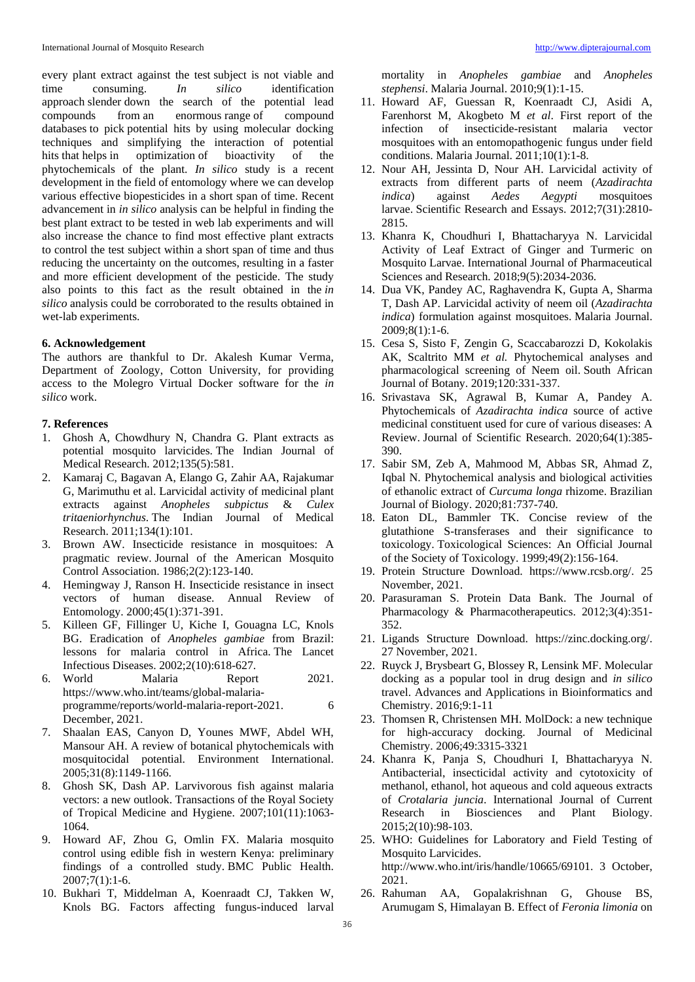every plant extract against the test subject is not viable and time consuming. *In silico* identification approach slender down the search of the potential lead compounds from an enormous range of compound databases to pick potential hits by using molecular docking techniques and simplifying the interaction of potential hits that helps in optimization of bioactivity of the phytochemicals of the plant. *In silico* study is a recent development in the field of entomology where we can develop various effective biopesticides in a short span of time. Recent advancement in *in silico* analysis can be helpful in finding the best plant extract to be tested in web lab experiments and will also increase the chance to find most effective plant extracts to control the test subject within a short span of time and thus reducing the uncertainty on the outcomes, resulting in a faster and more efficient development of the pesticide. The study also points to this fact as the result obtained in the *in silico* analysis could be corroborated to the results obtained in wet-lab experiments.

#### **6. Acknowledgement**

The authors are thankful to Dr. Akalesh Kumar Verma, Department of Zoology, Cotton University, for providing access to the Molegro Virtual Docker software for the *in silico* work.

#### **7. References**

- 1. Ghosh A, Chowdhury N, Chandra G. Plant extracts as potential mosquito larvicides. The Indian Journal of Medical Research. 2012;135(5):581.
- 2. Kamaraj C, Bagavan A, Elango G, Zahir AA, Rajakumar G, Marimuthu et al. Larvicidal activity of medicinal plant extracts against *Anopheles subpictus* & *Culex tritaeniorhynchus*. The Indian Journal of Medical Research. 2011;134(1):101.
- 3. Brown AW. Insecticide resistance in mosquitoes: A pragmatic review. Journal of the American Mosquito Control Association. 1986;2(2):123-140.
- 4. Hemingway J, Ranson H. Insecticide resistance in insect vectors of human disease. Annual Review of Entomology. 2000;45(1):371-391.
- 5. Killeen GF, Fillinger U, Kiche I, Gouagna LC, Knols BG. Eradication of *Anopheles gambiae* from Brazil: lessons for malaria control in Africa. The Lancet Infectious Diseases. 2002;2(10):618-627.
- 6. World Malaria Report 2021. https://www.who.int/teams/global-malariaprogramme/reports/world-malaria-report-2021. 6 December, 2021.
- 7. Shaalan EAS, Canyon D, Younes MWF, Abdel WH, Mansour AH. A review of botanical phytochemicals with mosquitocidal potential. Environment International. 2005;31(8):1149-1166.
- 8. Ghosh SK, Dash AP. Larvivorous fish against malaria vectors: a new outlook. Transactions of the Royal Society of Tropical Medicine and Hygiene. 2007;101(11):1063- 1064.
- 9. Howard AF, Zhou G, Omlin FX. Malaria mosquito control using edible fish in western Kenya: preliminary findings of a controlled study. BMC Public Health. 2007;7(1):1-6.
- 10. Bukhari T, Middelman A, Koenraadt CJ, Takken W, Knols BG. Factors affecting fungus-induced larval

mortality in *Anopheles gambiae* and *Anopheles stephensi*. Malaria Journal. 2010;9(1):1-15.

- 11. Howard AF, Guessan R, Koenraadt CJ, Asidi A, Farenhorst M, Akogbeto M *et al*. First report of the infection of insecticide-resistant malaria vector mosquitoes with an entomopathogenic fungus under field conditions. Malaria Journal. 2011;10(1):1-8.
- 12. Nour AH, Jessinta D, Nour AH. Larvicidal activity of extracts from different parts of neem (*Azadirachta indica*) against *Aedes Aegypti* mosquitoes larvae. Scientific Research and Essays. 2012;7(31):2810- 2815.
- 13. Khanra K, Choudhuri I, Bhattacharyya N. Larvicidal Activity of Leaf Extract of Ginger and Turmeric on Mosquito Larvae. International Journal of Pharmaceutical Sciences and Research. 2018;9(5):2034-2036.
- 14. Dua VK, Pandey AC, Raghavendra K, Gupta A, Sharma T, Dash AP. Larvicidal activity of neem oil (*Azadirachta indica*) formulation against mosquitoes. Malaria Journal. 2009;8(1):1-6.
- 15. Cesa S, Sisto F, Zengin G, Scaccabarozzi D, Kokolakis AK, Scaltrito MM *et al.* Phytochemical analyses and pharmacological screening of Neem oil. South African Journal of Botany. 2019;120:331-337.
- 16. Srivastava SK, Agrawal B, Kumar A, Pandey A. Phytochemicals of *Azadirachta indica* source of active medicinal constituent used for cure of various diseases: A Review. Journal of Scientific Research. 2020;64(1):385- 390.
- 17. Sabir SM, Zeb A, Mahmood M, Abbas SR, Ahmad Z, Iqbal N. Phytochemical analysis and biological activities of ethanolic extract of *Curcuma longa* rhizome. Brazilian Journal of Biology. 2020;81:737-740.
- 18. Eaton DL, Bammler TK. Concise review of the glutathione S-transferases and their significance to toxicology. Toxicological Sciences: An Official Journal of the Society of Toxicology. 1999;49(2):156-164.
- 19. Protein Structure Download. https://www.rcsb.org/. 25 November, 2021.
- 20. Parasuraman S. Protein Data Bank. The Journal of Pharmacology & Pharmacotherapeutics. 2012;3(4):351- 352.
- 21. Ligands Structure Download. https://zinc.docking.org/. 27 November, 2021.
- 22. Ruyck J, Brysbeart G, Blossey R, Lensink MF. Molecular docking as a popular tool in drug design and *in silico* travel. Advances and Applications in Bioinformatics and Chemistry. 2016;9:1-11
- 23. Thomsen R, Christensen MH. MolDock: a new technique for high-accuracy docking. Journal of Medicinal Chemistry. 2006;49:3315-3321
- 24. Khanra K, Panja S, Choudhuri I, Bhattacharyya N. Antibacterial, insecticidal activity and cytotoxicity of methanol, ethanol, hot aqueous and cold aqueous extracts of *Crotalaria juncia*. International Journal of Current Research in Biosciences and Plant Biology. 2015;2(10):98-103.
- 25. WHO: Guidelines for Laboratory and Field Testing of Mosquito Larvicides. http://www.who.int/iris/handle/10665/69101. 3 October, 2021.
- 26. Rahuman AA, Gopalakrishnan G, Ghouse BS, Arumugam S, Himalayan B. Effect of *Feronia limonia* on